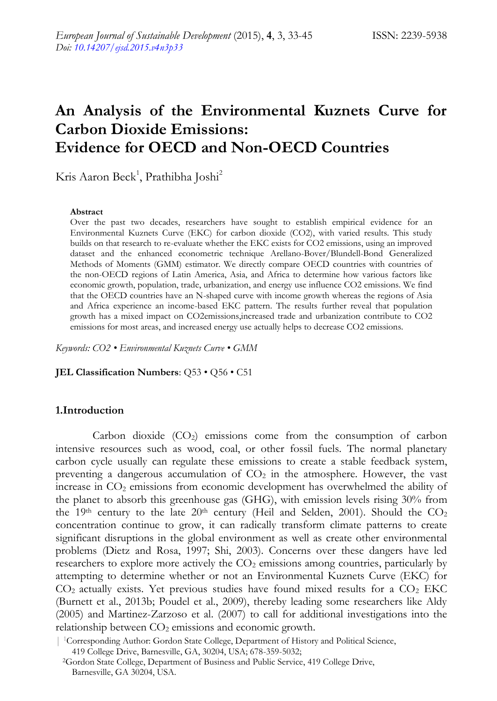# **An Analysis of the Environmental Kuznets Curve for Carbon Dioxide Emissions: Evidence for OECD and Non-OECD Countries**

Kris Aaron Beck<sup>1</sup>, Prathibha Joshi<sup>2</sup>

#### **Abstract**

Over the past two decades, researchers have sought to establish empirical evidence for an Environmental Kuznets Curve (EKC) for carbon dioxide (CO2), with varied results. This study builds on that research to re-evaluate whether the EKC exists for CO2 emissions, using an improved dataset and the enhanced econometric technique Arellano-Bover/Blundell-Bond Generalized Methods of Moments (GMM) estimator. We directly compare OECD countries with countries of the non-OECD regions of Latin America, Asia, and Africa to determine how various factors like economic growth, population, trade, urbanization, and energy use influence CO2 emissions. We find that the OECD countries have an N-shaped curve with income growth whereas the regions of Asia and Africa experience an income-based EKC pattern. The results further reveal that population growth has a mixed impact on CO2emissions,increased trade and urbanization contribute to CO2 emissions for most areas, and increased energy use actually helps to decrease CO2 emissions.

*Keywords: CO2 • Environmental Kuznets Curve • GMM*

**JEL Classification Numbers**: Q53 • Q56 • C51

### **1.Introduction**

Carbon dioxide  $(CO_2)$  emissions come from the consumption of carbon intensive resources such as wood, coal, or other fossil fuels. The normal planetary carbon cycle usually can regulate these emissions to create a stable feedback system, preventing a dangerous accumulation of  $CO<sub>2</sub>$  in the atmosphere. However, the vast increase in  $CO<sub>2</sub>$  emissions from economic development has overwhelmed the ability of the planet to absorb this greenhouse gas (GHG), with emission levels rising 30% from the 19<sup>th</sup> century to the late 20<sup>th</sup> century (Heil and Selden, 2001). Should the  $CO<sub>2</sub>$ concentration continue to grow, it can radically transform climate patterns to create significant disruptions in the global environment as well as create other environmental problems (Dietz and Rosa, 1997; Shi, 2003). Concerns over these dangers have led researchers to explore more actively the  $CO<sub>2</sub>$  emissions among countries, particularly by attempting to determine whether or not an Environmental Kuznets Curve (EKC) for  $CO<sub>2</sub>$  actually exists. Yet previous studies have found mixed results for a  $CO<sub>2</sub> EKC$ (Burnett et al., 2013b; Poudel et al., 2009), thereby leading some researchers like Aldy (2005) and Martinez-Zarzoso et al. (2007) to call for additional investigations into the relationship between  $CO<sub>2</sub>$  emissions and economic growth.

| <sup>1</sup>Corresponding Author: Gordon State College, Department of History and Political Science,

419 College Drive, Barnesville, GA, 30204, USA; 678-359-5032;

<sup>2</sup>Gordon State College, Department of Business and Public Service, 419 College Drive, Barnesville, GA 30204, USA.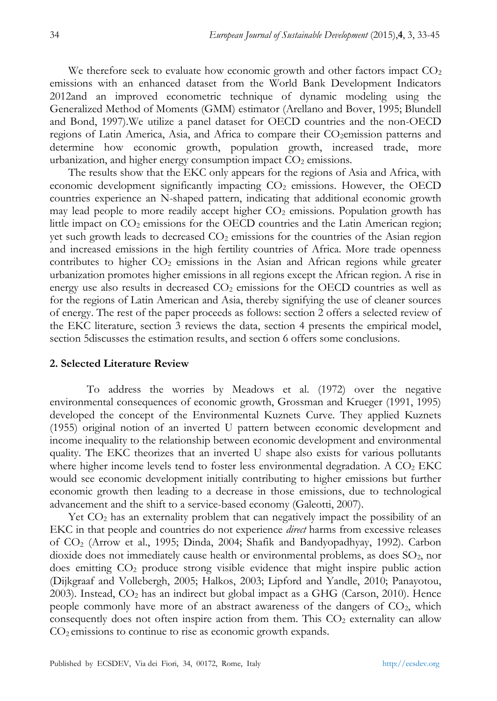We therefore seek to evaluate how economic growth and other factors impact  $CO<sub>2</sub>$ emissions with an enhanced dataset from the World Bank Development Indicators 2012and an improved econometric technique of dynamic modeling using the Generalized Method of Moments (GMM) estimator (Arellano and Bover, 1995; Blundell and Bond, 1997).We utilize a panel dataset for OECD countries and the non-OECD regions of Latin America, Asia, and Africa to compare their CO<sub>2</sub>emission patterns and determine how economic growth, population growth, increased trade, more urbanization, and higher energy consumption impact  $CO<sub>2</sub>$  emissions.

The results show that the EKC only appears for the regions of Asia and Africa, with economic development significantly impacting CO<sup>2</sup> emissions. However, the OECD countries experience an N-shaped pattern, indicating that additional economic growth may lead people to more readily accept higher  $CO<sub>2</sub>$  emissions. Population growth has little impact on  $CO<sub>2</sub>$  emissions for the OECD countries and the Latin American region; yet such growth leads to decreased  $CO<sub>2</sub>$  emissions for the countries of the Asian region and increased emissions in the high fertility countries of Africa. More trade openness contributes to higher  $CO<sub>2</sub>$  emissions in the Asian and African regions while greater urbanization promotes higher emissions in all regions except the African region. A rise in energy use also results in decreased  $CO<sub>2</sub>$  emissions for the OECD countries as well as for the regions of Latin American and Asia, thereby signifying the use of cleaner sources of energy. The rest of the paper proceeds as follows: section 2 offers a selected review of the EKC literature, section 3 reviews the data, section 4 presents the empirical model, section 5discusses the estimation results, and section 6 offers some conclusions.

### **2. Selected Literature Review**

To address the worries by Meadows et al. (1972) over the negative environmental consequences of economic growth, Grossman and Krueger (1991, 1995) developed the concept of the Environmental Kuznets Curve. They applied Kuznets (1955) original notion of an inverted U pattern between economic development and income inequality to the relationship between economic development and environmental quality. The EKC theorizes that an inverted U shape also exists for various pollutants where higher income levels tend to foster less environmental degradation. A  $CO<sub>2</sub>$  EKC would see economic development initially contributing to higher emissions but further economic growth then leading to a decrease in those emissions, due to technological advancement and the shift to a service-based economy (Galeotti, 2007).

Yet  $CO<sub>2</sub>$  has an externality problem that can negatively impact the possibility of an EKC in that people and countries do not experience *direct* harms from excessive releases of CO<sup>2</sup> (Arrow et al., 1995; Dinda, 2004; Shafik and Bandyopadhyay, 1992). Carbon dioxide does not immediately cause health or environmental problems, as does  $SO<sub>2</sub>$ , nor does emitting CO<sup>2</sup> produce strong visible evidence that might inspire public action (Dijkgraaf and Vollebergh, 2005; Halkos, 2003; Lipford and Yandle, 2010; Panayotou, 2003). Instead,  $CO<sub>2</sub>$  has an indirect but global impact as a GHG (Carson, 2010). Hence people commonly have more of an abstract awareness of the dangers of  $CO<sub>2</sub>$ , which consequently does not often inspire action from them. This  $CO<sub>2</sub>$  externality can allow  $CO<sub>2</sub>$  emissions to continue to rise as economic growth expands.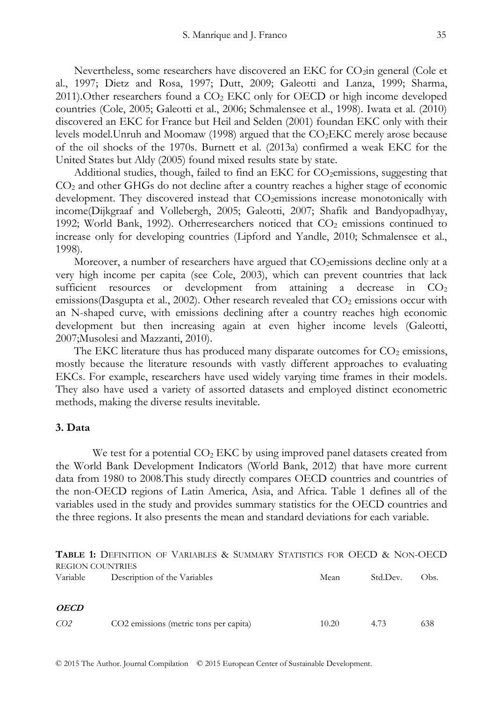Nevertheless, some researchers have discovered an EKC for CO<sub>2</sub>in general (Cole et al., 1997; Dietz and Rosa, 1997; Dutt, 2009; Galeotti and Lanza, 1999; Sharma, 2011). Other researchers found a  $CO<sub>2</sub>$  EKC only for OECD or high income developed countries (Cole, 2005; Galeotti et al., 2006; Schmalensee et al., 1998). Iwata et al. (2010) discovered an EKC for France but Heil and Selden (2001) foundan EKC only with their levels model.Unruh and Moomaw (1998) argued that the CO2EKC merely arose because of the oil shocks of the 1970s. Burnett et al. (2013a) confirmed a weak EKC for the United States but Aldy (2005) found mixed results state by state.

Additional studies, though, failed to find an EKC for CO<sub>2</sub>emissions, suggesting that CO<sup>2</sup> and other GHGs do not decline after a country reaches a higher stage of economic development. They discovered instead that CO<sub>2</sub>emissions increase monotonically with income(Dijkgraaf and Vollebergh, 2005; Galeotti, 2007; Shafik and Bandyopadhyay, 1992; World Bank, 1992). Otherresearchers noticed that  $CO<sub>2</sub>$  emissions continued to increase only for developing countries (Lipford and Yandle, 2010; Schmalensee et al., 1998).

Moreover, a number of researchers have argued that  $CO<sub>2</sub>$ emissions decline only at a very high income per capita (see Cole, 2003), which can prevent countries that lack sufficient resources or development from attaining a decrease in  $CO<sub>2</sub>$ emissions(Dasgupta et al., 2002). Other research revealed that  $CO<sub>2</sub>$  emissions occur with an N-shaped curve, with emissions declining after a country reaches high economic development but then increasing again at even higher income levels (Galeotti, 2007;Musolesi and Mazzanti, 2010).

The EKC literature thus has produced many disparate outcomes for  $CO<sub>2</sub>$  emissions, mostly because the literature resounds with vastly different approaches to evaluating EKCs. For example, researchers have used widely varying time frames in their models. They also have used a variety of assorted datasets and employed distinct econometric methods, making the diverse results inevitable.

#### **3. Data**

We test for a potential  $CO<sub>2</sub> EKC$  by using improved panel datasets created from the World Bank Development Indicators (World Bank, 2012) that have more current data from 1980 to 2008.This study directly compares OECD countries and countries of the non-OECD regions of Latin America, Asia, and Africa. Table 1 defines all of the variables used in the study and provides summary statistics for the OECD countries and the three regions. It also presents the mean and standard deviations for each variable.

**TABLE 1:** DEFINITION OF VARIABLES & SUMMARY STATISTICS FOR OECD & NON-OECD REGION COUNTRIES

| Variable        | Description of the Variables           | Mean  | Std.Dev. | Obs. |
|-----------------|----------------------------------------|-------|----------|------|
| <b>OECD</b>     |                                        |       |          |      |
| CO <sub>2</sub> | CO2 emissions (metric tons per capita) | 10.20 | 4.73     | 638  |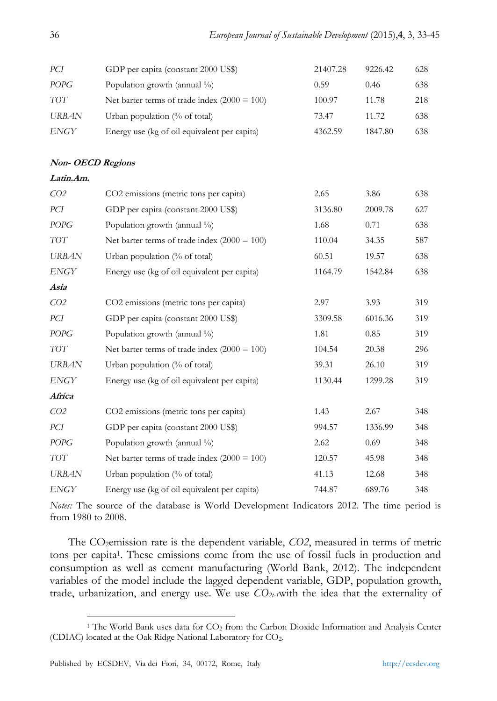| PCI                      | GDP per capita (constant 2000 US\$)            | 21407.28 | 9226.42 | 628 |
|--------------------------|------------------------------------------------|----------|---------|-----|
| <b>POPG</b>              | Population growth (annual %)                   | 0.59     | 0.46    | 638 |
| $TOT$                    | Net barter terms of trade index $(2000 = 100)$ | 100.97   | 11.78   | 218 |
| <b>URBAN</b>             | Urban population (% of total)                  | 73.47    | 11.72   | 638 |
| ENGY                     | Energy use (kg of oil equivalent per capita)   | 4362.59  | 1847.80 | 638 |
|                          |                                                |          |         |     |
| <b>Non- OECD Regions</b> |                                                |          |         |     |
| Latin.Am.                |                                                |          |         |     |
| CO <sub>2</sub>          | CO2 emissions (metric tons per capita)         | 2.65     | 3.86    | 638 |
| PCI                      | GDP per capita (constant 2000 US\$)            | 3136.80  | 2009.78 | 627 |
| <b>POPG</b>              | Population growth (annual %)                   | 1.68     | 0.71    | 638 |
| <b>TOT</b>               | Net barter terms of trade index $(2000 = 100)$ | 110.04   | 34.35   | 587 |
| <b>URBAN</b>             | Urban population (% of total)                  | 60.51    | 19.57   | 638 |
| <b>ENGY</b>              | Energy use (kg of oil equivalent per capita)   | 1164.79  | 1542.84 | 638 |
| Asia                     |                                                |          |         |     |
| CO <sub>2</sub>          | CO2 emissions (metric tons per capita)         | 2.97     | 3.93    | 319 |
| PCI                      | GDP per capita (constant 2000 US\$)            | 3309.58  | 6016.36 | 319 |
| $POPG$                   | Population growth (annual %)                   | 1.81     | 0.85    | 319 |
| $TOT$                    | Net barter terms of trade index $(2000 = 100)$ | 104.54   | 20.38   | 296 |
| <b>URBAN</b>             | Urban population (% of total)                  | 39.31    | 26.10   | 319 |
| <b>ENGY</b>              | Energy use (kg of oil equivalent per capita)   | 1130.44  | 1299.28 | 319 |
| Africa                   |                                                |          |         |     |
| CO <sub>2</sub>          | CO2 emissions (metric tons per capita)         | 1.43     | 2.67    | 348 |
| PCI                      | GDP per capita (constant 2000 US\$)            | 994.57   | 1336.99 | 348 |
| <b>POPG</b>              | Population growth (annual %)                   | 2.62     | 0.69    | 348 |
| <b>TOT</b>               | Net barter terms of trade index $(2000 = 100)$ | 120.57   | 45.98   | 348 |
| <b>URBAN</b>             | Urban population (% of total)                  | 41.13    | 12.68   | 348 |
| <b>ENGY</b>              | Energy use (kg of oil equivalent per capita)   | 744.87   | 689.76  | 348 |

*Notes:* The source of the database is World Development Indicators 2012. The time period is from 1980 to 2008.

The CO2emission rate is the dependent variable, *CO2*, measured in terms of metric tons per capita<sup>1</sup>. These emissions come from the use of fossil fuels in production and consumption as well as cement manufacturing (World Bank, 2012). The independent variables of the model include the lagged dependent variable, GDP, population growth, trade, urbanization, and energy use. We use *CO2t-1*with the idea that the externality of

<sup>&</sup>lt;u>.</u> <sup>1</sup> The World Bank uses data for CO<sub>2</sub> from the Carbon Dioxide Information and Analysis Center (CDIAC) located at the Oak Ridge National Laboratory for CO2.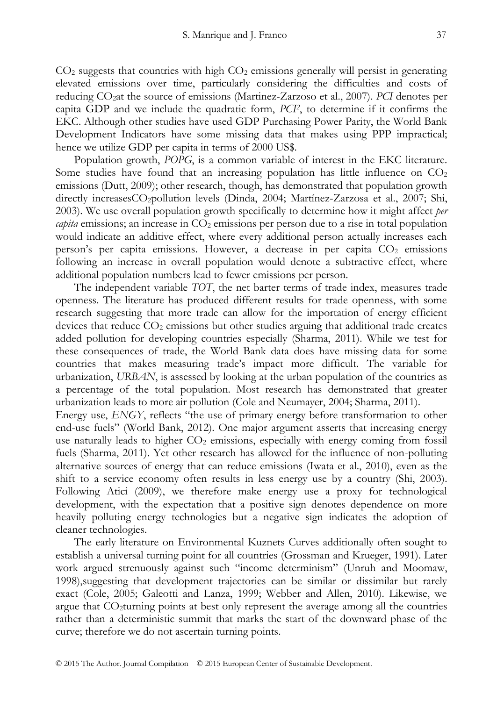$CO<sub>2</sub>$  suggests that countries with high  $CO<sub>2</sub>$  emissions generally will persist in generating elevated emissions over time, particularly considering the difficulties and costs of reducing CO2at the source of emissions (Martinez-Zarzoso et al., 2007). *PCI* denotes per capita GDP and we include the quadratic form, *PCI<sup>2</sup>* , to determine if it confirms the EKC. Although other studies have used GDP Purchasing Power Parity, the World Bank Development Indicators have some missing data that makes using PPP impractical; hence we utilize GDP per capita in terms of 2000 US\$.

Population growth, *POPG*, is a common variable of interest in the EKC literature. Some studies have found that an increasing population has little influence on  $CO<sub>2</sub>$ emissions (Dutt, 2009); other research, though, has demonstrated that population growth directly increasesCO2pollution levels (Dinda, 2004; Martínez-Zarzosa et al., 2007; Shi, 2003). We use overall population growth specifically to determine how it might affect *per*   $c$ *capita* emissions; an increase in  $CO<sub>2</sub>$  emissions per person due to a rise in total population would indicate an additive effect, where every additional person actually increases each person's per capita emissions. However, a decrease in per capita  $CO<sub>2</sub>$  emissions following an increase in overall population would denote a subtractive effect, where additional population numbers lead to fewer emissions per person.

The independent variable *TOT*, the net barter terms of trade index, measures trade openness. The literature has produced different results for trade openness, with some research suggesting that more trade can allow for the importation of energy efficient devices that reduce  $CO<sub>2</sub>$  emissions but other studies arguing that additional trade creates added pollution for developing countries especially (Sharma, 2011). While we test for these consequences of trade, the World Bank data does have missing data for some countries that makes measuring trade's impact more difficult. The variable for urbanization, *URBAN*, is assessed by looking at the urban population of the countries as a percentage of the total population. Most research has demonstrated that greater urbanization leads to more air pollution (Cole and Neumayer, 2004; Sharma, 2011).

Energy use, *ENGY*, reflects "the use of primary energy before transformation to other end-use fuels" (World Bank, 2012). One major argument asserts that increasing energy use naturally leads to higher  $CO<sub>2</sub>$  emissions, especially with energy coming from fossil fuels (Sharma, 2011). Yet other research has allowed for the influence of non-polluting alternative sources of energy that can reduce emissions (Iwata et al., 2010), even as the shift to a service economy often results in less energy use by a country (Shi, 2003). Following Atici (2009), we therefore make energy use a proxy for technological development, with the expectation that a positive sign denotes dependence on more heavily polluting energy technologies but a negative sign indicates the adoption of cleaner technologies.

The early literature on Environmental Kuznets Curves additionally often sought to establish a universal turning point for all countries (Grossman and Krueger, 1991). Later work argued strenuously against such "income determinism" (Unruh and Moomaw, 1998),suggesting that development trajectories can be similar or dissimilar but rarely exact (Cole, 2005; Galeotti and Lanza, 1999; Webber and Allen, 2010). Likewise, we argue that CO2turning points at best only represent the average among all the countries rather than a deterministic summit that marks the start of the downward phase of the curve; therefore we do not ascertain turning points.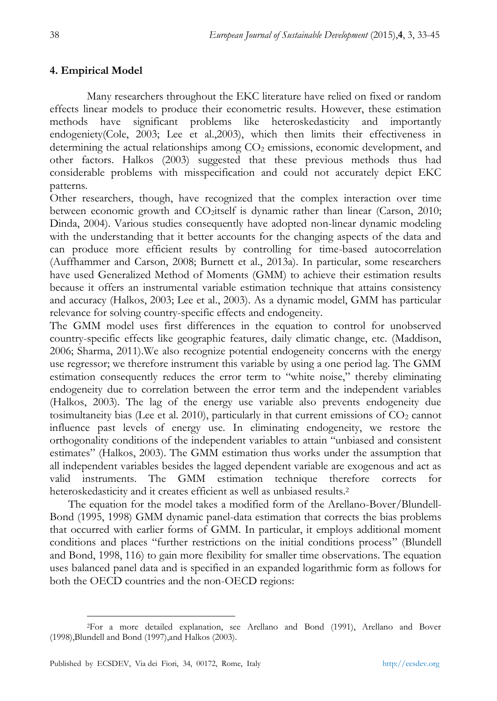## **4. Empirical Model**

Many researchers throughout the EKC literature have relied on fixed or random effects linear models to produce their econometric results. However, these estimation methods have significant problems like heteroskedasticity and importantly endogeniety(Cole, 2003; Lee et al.,2003), which then limits their effectiveness in determining the actual relationships among  $CO<sub>2</sub>$  emissions, economic development, and other factors. Halkos (2003) suggested that these previous methods thus had considerable problems with misspecification and could not accurately depict EKC patterns.

Other researchers, though, have recognized that the complex interaction over time between economic growth and CO2itself is dynamic rather than linear (Carson, 2010; Dinda, 2004). Various studies consequently have adopted non-linear dynamic modeling with the understanding that it better accounts for the changing aspects of the data and can produce more efficient results by controlling for time-based autocorrelation (Auffhammer and Carson, 2008; Burnett et al., 2013a). In particular, some researchers have used Generalized Method of Moments (GMM) to achieve their estimation results because it offers an instrumental variable estimation technique that attains consistency and accuracy (Halkos, 2003; Lee et al., 2003). As a dynamic model, GMM has particular relevance for solving country-specific effects and endogeneity.

The GMM model uses first differences in the equation to control for unobserved country-specific effects like geographic features, daily climatic change, etc. (Maddison, 2006; Sharma, 2011).We also recognize potential endogeneity concerns with the energy use regressor; we therefore instrument this variable by using a one period lag. The GMM estimation consequently reduces the error term to "white noise," thereby eliminating endogeneity due to correlation between the error term and the independent variables (Halkos, 2003). The lag of the energy use variable also prevents endogeneity due tosimultaneity bias (Lee et al. 2010), particularly in that current emissions of  $CO<sub>2</sub>$  cannot influence past levels of energy use. In eliminating endogeneity, we restore the orthogonality conditions of the independent variables to attain "unbiased and consistent estimates" (Halkos, 2003). The GMM estimation thus works under the assumption that all independent variables besides the lagged dependent variable are exogenous and act as valid instruments. The GMM estimation technique therefore corrects for heteroskedasticity and it creates efficient as well as unbiased results.<sup>2</sup>

The equation for the model takes a modified form of the Arellano-Bover/Blundell-Bond (1995, 1998) GMM dynamic panel-data estimation that corrects the bias problems that occurred with earlier forms of GMM. In particular, it employs additional moment conditions and places "further restrictions on the initial conditions process" (Blundell and Bond, 1998, 116) to gain more flexibility for smaller time observations. The equation uses balanced panel data and is specified in an expanded logarithmic form as follows for both the OECD countries and the non-OECD regions:

<sup>&</sup>lt;u>.</u> <sup>2</sup>For a more detailed explanation, see Arellano and Bond (1991), Arellano and Bover (1998),Blundell and Bond (1997),and Halkos (2003).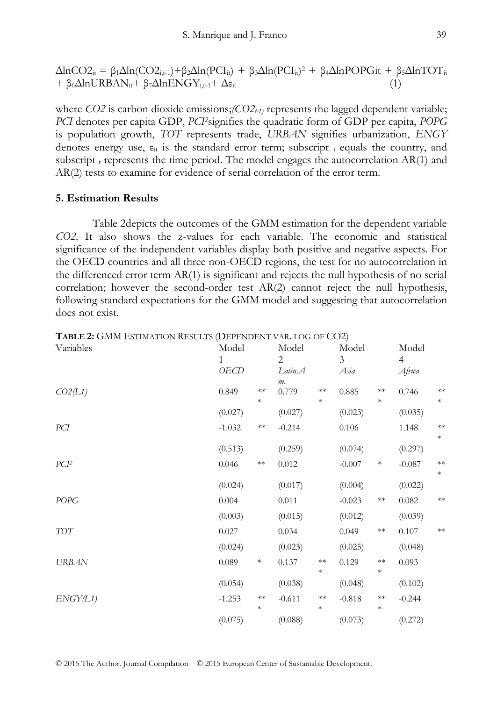$\Delta$ lnCO2<sub>it</sub> = β<sub>1</sub> $\Delta$ ln(CO2<sub>i,t-1</sub>)+β<sub>2</sub> $\Delta$ ln(PCI<sub>it</sub>) + β<sub>3</sub> $\Delta$ ln(PCI<sub>it</sub>)<sup>2</sup> + β<sub>4</sub> $\Delta$ lnPOPGit + β5 $\Delta$ lnTOT<sub>it</sub>  $+ \beta_6 \Delta ln \text{URBAN}_{it} + \beta_7 \Delta ln \text{ENGY}_{i,t-1} + \Delta \varepsilon_{it}$  (1)

where *CO2* is carbon dioxide emissions; $\langle CO2_{t} \rangle$  represents the lagged dependent variable; *PCI* denotes per capita GDP, *PCI2*signifies the quadratic form of GDP per capita, *POPG* is population growth, *TOT* represents trade, *URBAN* signifies urbanization, *ENGY* denotes energy use,  $\varepsilon_{it}$  is the standard error term; subscript i equals the country, and subscript  $_{t}$  represents the time period. The model engages the autocorrelation AR(1) and AR(2) tests to examine for evidence of serial correlation of the error term.

#### **5. Estimation Results**

Table 2depicts the outcomes of the GMM estimation for the dependent variable *CO2*. It also shows the z-values for each variable. The economic and statistical significance of the independent variables display both positive and negative aspects. For the OECD countries and all three non-OECD regions, the test for no autocorrelation in the differenced error term AR(1) is significant and rejects the null hypothesis of no serial correlation; however the second-order test AR(2) cannot reject the null hypothesis, following standard expectations for the GMM model and suggesting that autocorrelation does not exist.

| Variables        | Model<br>1<br>OECD |                      | Model<br>2<br>Latin.A |                      | Model<br>3<br>Asia |                      | Model<br>$\overline{4}$<br>Africa |                |
|------------------|--------------------|----------------------|-----------------------|----------------------|--------------------|----------------------|-----------------------------------|----------------|
| CO2(L1)          | 0.849              | $\ast\ast$<br>$\ast$ | $m$ .<br>0.779        | $**$<br>*            | 0.885              | $**$<br>$\ast$       | 0.746                             | $**$<br>$\ast$ |
|                  | (0.027)            |                      | (0.027)               |                      | (0.023)            |                      | (0.035)                           |                |
| PCI              | $-1.032$           | $\ast\ast$           | $-0.214$              |                      | 0.106              |                      | 1.148                             | $**$<br>$*$    |
|                  | (0.513)            |                      | (0.259)               |                      | (0.074)            |                      | (0.297)                           |                |
| PCI <sup>2</sup> | 0.046              | $\ast\ast$           | 0.012                 |                      | $-0.007$           | $\ast$               | $-0.087$                          | $**$<br>$\ast$ |
|                  | (0.024)            |                      | (0.017)               |                      | (0.004)            |                      | (0.022)                           |                |
| POPG             | 0.004              |                      | 0.011                 |                      | $-0.023$           | $\ast\ast$           | 0.082                             | $**$           |
|                  | (0.003)            |                      | (0.015)               |                      | (0.012)            |                      | (0.039)                           |                |
| <b>TOT</b>       | 0.027              |                      | 0.034                 |                      | 0.049              | $\ast\ast$           | 0.107                             | $**$           |
|                  | (0.024)            |                      | (0.023)               |                      | (0.025)            |                      | (0.048)                           |                |
| <b>URBAN</b>     | 0.089              | $\ast$               | 0.137                 | $\ast\ast$<br>$\ast$ | 0.129              | $\ast\ast$<br>$\ast$ | 0.093                             |                |
|                  | (0.054)            |                      | (0.038)               |                      | (0.048)            |                      | (0.102)                           |                |
| ENGY(L1)         | $-1.253$           | $\ast\ast$<br>$\ast$ | $-0.611$              | $\ast\ast$<br>$\ast$ | $-0.818$           | $\ast\ast$<br>$\ast$ | $-0.244$                          |                |
|                  | (0.075)            |                      | (0.088)               |                      | (0.073)            |                      | (0.272)                           |                |

**TABLE 2:** GMM ESTIMATION RESULTS (DEPENDENT VAR. LOG OF CO2)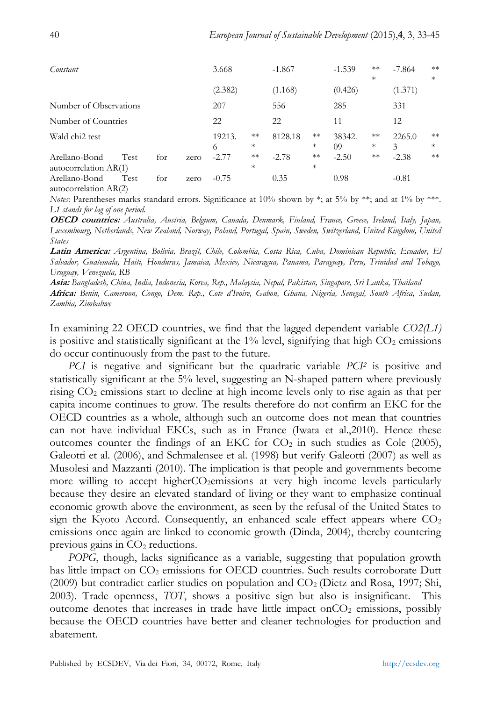| Constant                               |      |     |      | 3.668       |                | $-1.867$ |                | $-1.539$     | $**$<br>$\ast$ | $-7.864$    | $**$<br>$\ast$ |
|----------------------------------------|------|-----|------|-------------|----------------|----------|----------------|--------------|----------------|-------------|----------------|
|                                        |      |     |      | (2.382)     |                | (1.168)  |                | (0.426)      |                | (1.371)     |                |
| Number of Observations                 |      |     |      | 207         |                | 556      |                | 285          |                | 331         |                |
| Number of Countries                    |      |     |      | 22          |                | 22       |                | 11           |                | 12          |                |
| Wald chi <sub>2</sub> test             |      |     |      | 19213.<br>6 | $**$<br>$\ast$ | 8128.18  | $**$<br>*      | 38342.<br>09 | $**$<br>$\ast$ | 2265.0<br>3 | $**$<br>$\ast$ |
| Arellano-Bond<br>autocorrelation AR(1) | Test | for | zero | $-2.77$     | $**$<br>$\ast$ | $-2.78$  | $**$<br>$\ast$ | $-2.50$      | $**$           | $-2.38$     | $**$           |
| Arellano-Bond<br>autocorrelation AR(2) | Test | for | zero | $-0.75$     |                | 0.35     |                | 0.98         |                | $-0.81$     |                |

*Notes*: Parentheses marks standard errors. Significance at 10% shown by \*; at 5% by \*\*; and at 1% by \*\*\*. *L1 stands for lag of one period.*

**OECD countries:** *Australia, Austria, Belgium, Canada, Denmark, Finland, France, Greece, Ireland, Italy, Japan, Luxembourg, Netherlands, New Zealand, Norway, Poland, Portugal, Spain, Sweden, Switzerland, United Kingdom, United States*

**Latin America:** *Argentina, Bolivia, Brazil, Chile, Colombia, Costa Rica, Cuba, Dominican Republic, Ecuador, El Salvador, Guatemala, Haiti, Honduras, Jamaica, Mexico, Nicaragua, Panama, Paraguay, Peru, Trinidad and Tobago, Uruguay, Venezuela, RB*

**Asia:** *Bangladesh, China, India, Indonesia, Korea, Rep., Malaysia, Nepal, Pakistan, Singapore, Sri Lanka, Thailand*

**Africa:** *Benin, Cameroon, Congo, Dem. Rep., Cote d'Ivoire, Gabon, Ghana, Nigeria, Senegal, South Africa, Sudan, Zambia, Zimbabwe*

In examining 22 OECD countries, we find that the lagged dependent variable *CO2(L1)* is positive and statistically significant at the  $1\%$  level, signifying that high  $CO<sub>2</sub>$  emissions do occur continuously from the past to the future.

*PCI* is negative and significant but the quadratic variable *PCI<sup>2</sup>* is positive and statistically significant at the 5% level, suggesting an N-shaped pattern where previously rising CO<sup>2</sup> emissions start to decline at high income levels only to rise again as that per capita income continues to grow. The results therefore do not confirm an EKC for the OECD countries as a whole, although such an outcome does not mean that countries can not have individual EKCs, such as in France (Iwata et al.,2010). Hence these outcomes counter the findings of an EKC for  $CO<sub>2</sub>$  in such studies as Cole (2005), Galeotti et al. (2006), and Schmalensee et al. (1998) but verify Galeotti (2007) as well as Musolesi and Mazzanti (2010). The implication is that people and governments become more willing to accept higherCO<sub>2</sub>emissions at very high income levels particularly because they desire an elevated standard of living or they want to emphasize continual economic growth above the environment, as seen by the refusal of the United States to sign the Kyoto Accord. Consequently, an enhanced scale effect appears where  $CO<sub>2</sub>$ emissions once again are linked to economic growth (Dinda, 2004), thereby countering previous gains in  $CO<sub>2</sub>$  reductions.

*POPG*, though, lacks significance as a variable, suggesting that population growth has little impact on  $CO<sub>2</sub>$  emissions for OECD countries. Such results corroborate Dutt  $(2009)$  but contradict earlier studies on population and  $CO<sub>2</sub>$  (Dietz and Rosa, 1997; Shi, 2003). Trade openness, *TOT*, shows a positive sign but also is insignificant. This outcome denotes that increases in trade have little impact on $CO<sub>2</sub>$  emissions, possibly because the OECD countries have better and cleaner technologies for production and abatement.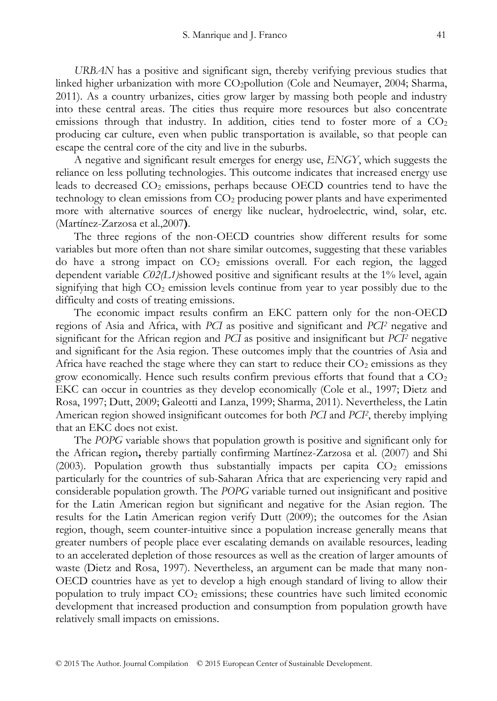*URBAN* has a positive and significant sign, thereby verifying previous studies that linked higher urbanization with more CO<sub>2</sub>pollution (Cole and Neumayer, 2004; Sharma, 2011). As a country urbanizes, cities grow larger by massing both people and industry into these central areas. The cities thus require more resources but also concentrate emissions through that industry. In addition, cities tend to foster more of a  $CO<sub>2</sub>$ producing car culture, even when public transportation is available, so that people can escape the central core of the city and live in the suburbs.

A negative and significant result emerges for energy use, *ENGY*, which suggests the reliance on less polluting technologies. This outcome indicates that increased energy use leads to decreased  $CO<sub>2</sub>$  emissions, perhaps because OECD countries tend to have the technology to clean emissions from CO<sup>2</sup> producing power plants and have experimented more with alternative sources of energy like nuclear, hydroelectric, wind, solar, etc. (Martínez-Zarzosa et al.,2007**)**.

The three regions of the non-OECD countries show different results for some variables but more often than not share similar outcomes, suggesting that these variables do have a strong impact on  $CO<sub>2</sub>$  emissions overall. For each region, the lagged dependent variable *C02(L1)*showed positive and significant results at the 1% level, again signifying that high  $CO<sub>2</sub>$  emission levels continue from year to year possibly due to the difficulty and costs of treating emissions.

The economic impact results confirm an EKC pattern only for the non-OECD regions of Asia and Africa, with *PCI* as positive and significant and *PCI<sup>2</sup>* negative and significant for the African region and *PCI* as positive and insignificant but *PCI<sup>2</sup>* negative and significant for the Asia region. These outcomes imply that the countries of Asia and Africa have reached the stage where they can start to reduce their  $CO<sub>2</sub>$  emissions as they grow economically. Hence such results confirm previous efforts that found that a  $CO<sub>2</sub>$ EKC can occur in countries as they develop economically (Cole et al., 1997; Dietz and Rosa, 1997; Dutt, 2009; Galeotti and Lanza, 1999; Sharma, 2011). Nevertheless, the Latin American region showed insignificant outcomes for both *PCI* and *PCI<sup>2</sup>* , thereby implying that an EKC does not exist.

The *POPG* variable shows that population growth is positive and significant only for the African region**,** thereby partially confirming Martínez-Zarzosa et al. (2007) and Shi (2003). Population growth thus substantially impacts per capita  $CO<sub>2</sub>$  emissions particularly for the countries of sub-Saharan Africa that are experiencing very rapid and considerable population growth. The *POPG* variable turned out insignificant and positive for the Latin American region but significant and negative for the Asian region. The results for the Latin American region verify Dutt (2009); the outcomes for the Asian region, though, seem counter-intuitive since a population increase generally means that greater numbers of people place ever escalating demands on available resources, leading to an accelerated depletion of those resources as well as the creation of larger amounts of waste (Dietz and Rosa, 1997). Nevertheless, an argument can be made that many non-OECD countries have as yet to develop a high enough standard of living to allow their population to truly impact  $CO<sub>2</sub>$  emissions; these countries have such limited economic development that increased production and consumption from population growth have relatively small impacts on emissions.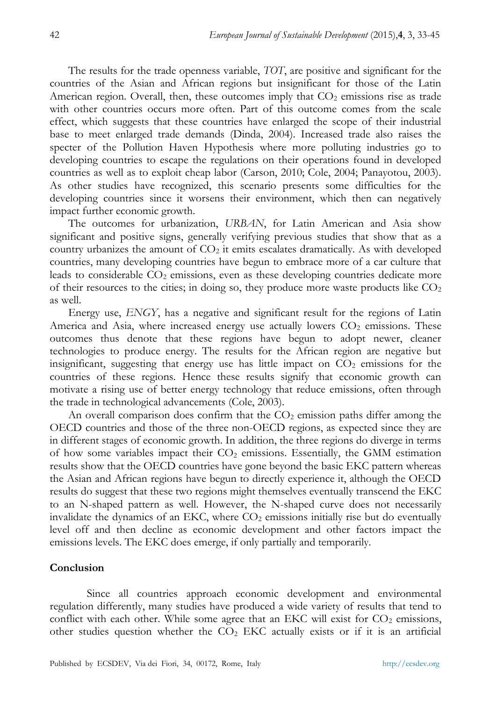The results for the trade openness variable, *TOT*, are positive and significant for the countries of the Asian and African regions but insignificant for those of the Latin American region. Overall, then, these outcomes imply that  $CO<sub>2</sub>$  emissions rise as trade with other countries occurs more often. Part of this outcome comes from the scale effect, which suggests that these countries have enlarged the scope of their industrial base to meet enlarged trade demands (Dinda, 2004). Increased trade also raises the specter of the Pollution Haven Hypothesis where more polluting industries go to developing countries to escape the regulations on their operations found in developed countries as well as to exploit cheap labor (Carson, 2010; Cole, 2004; Panayotou, 2003). As other studies have recognized, this scenario presents some difficulties for the developing countries since it worsens their environment, which then can negatively impact further economic growth.

The outcomes for urbanization, *URBAN*, for Latin American and Asia show significant and positive signs, generally verifying previous studies that show that as a country urbanizes the amount of  $CO<sub>2</sub>$  it emits escalates dramatically. As with developed countries, many developing countries have begun to embrace more of a car culture that leads to considerable  $CO<sub>2</sub>$  emissions, even as these developing countries dedicate more of their resources to the cities; in doing so, they produce more waste products like  $CO<sub>2</sub>$ as well.

Energy use, *ENGY*, has a negative and significant result for the regions of Latin America and Asia, where increased energy use actually lowers  $CO<sub>2</sub>$  emissions. These outcomes thus denote that these regions have begun to adopt newer, cleaner technologies to produce energy. The results for the African region are negative but insignificant, suggesting that energy use has little impact on  $CO<sub>2</sub>$  emissions for the countries of these regions. Hence these results signify that economic growth can motivate a rising use of better energy technology that reduce emissions, often through the trade in technological advancements (Cole, 2003).

An overall comparison does confirm that the  $CO<sub>2</sub>$  emission paths differ among the OECD countries and those of the three non-OECD regions, as expected since they are in different stages of economic growth. In addition, the three regions do diverge in terms of how some variables impact their  $CO<sub>2</sub>$  emissions. Essentially, the GMM estimation results show that the OECD countries have gone beyond the basic EKC pattern whereas the Asian and African regions have begun to directly experience it, although the OECD results do suggest that these two regions might themselves eventually transcend the EKC to an N-shaped pattern as well. However, the N-shaped curve does not necessarily invalidate the dynamics of an EKC, where  $CO<sub>2</sub>$  emissions initially rise but do eventually level off and then decline as economic development and other factors impact the emissions levels. The EKC does emerge, if only partially and temporarily.

#### **Conclusion**

Since all countries approach economic development and environmental regulation differently, many studies have produced a wide variety of results that tend to conflict with each other. While some agree that an EKC will exist for  $CO<sub>2</sub>$  emissions, other studies question whether the  $CO<sub>2</sub> EKC$  actually exists or if it is an artificial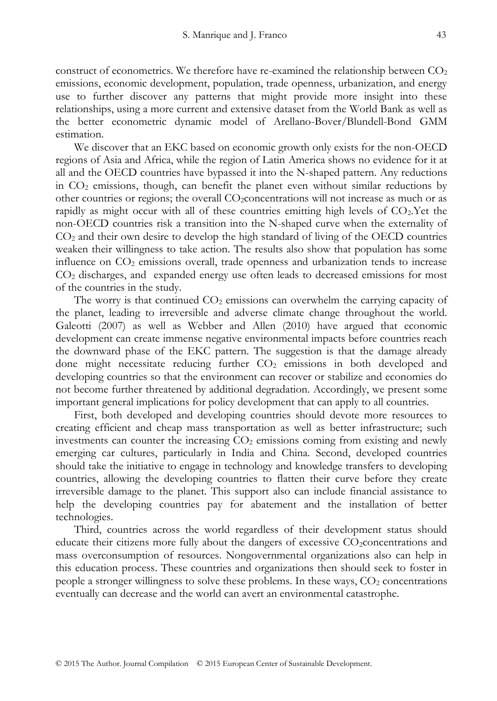construct of econometrics. We therefore have re-examined the relationship between  $CO<sub>2</sub>$ emissions, economic development, population, trade openness, urbanization, and energy use to further discover any patterns that might provide more insight into these relationships, using a more current and extensive dataset from the World Bank as well as the better econometric dynamic model of Arellano-Bover/Blundell-Bond GMM estimation.

We discover that an EKC based on economic growth only exists for the non-OECD regions of Asia and Africa, while the region of Latin America shows no evidence for it at all and the OECD countries have bypassed it into the N-shaped pattern. Any reductions in  $CO<sub>2</sub>$  emissions, though, can benefit the planet even without similar reductions by other countries or regions; the overall CO2concentrations will not increase as much or as rapidly as might occur with all of these countries emitting high levels of CO2.Yet the non-OECD countries risk a transition into the N-shaped curve when the externality of  $CO<sub>2</sub>$  and their own desire to develop the high standard of living of the OECD countries weaken their willingness to take action. The results also show that population has some influence on  $CO<sub>2</sub>$  emissions overall, trade openness and urbanization tends to increase CO<sup>2</sup> discharges, and expanded energy use often leads to decreased emissions for most of the countries in the study.

The worry is that continued  $CO<sub>2</sub>$  emissions can overwhelm the carrying capacity of the planet, leading to irreversible and adverse climate change throughout the world. Galeotti (2007) as well as Webber and Allen (2010) have argued that economic development can create immense negative environmental impacts before countries reach the downward phase of the EKC pattern. The suggestion is that the damage already done might necessitate reducing further CO<sub>2</sub> emissions in both developed and developing countries so that the environment can recover or stabilize and economies do not become further threatened by additional degradation. Accordingly, we present some important general implications for policy development that can apply to all countries.

First, both developed and developing countries should devote more resources to creating efficient and cheap mass transportation as well as better infrastructure; such investments can counter the increasing  $CO<sub>2</sub>$  emissions coming from existing and newly emerging car cultures, particularly in India and China. Second, developed countries should take the initiative to engage in technology and knowledge transfers to developing countries, allowing the developing countries to flatten their curve before they create irreversible damage to the planet. This support also can include financial assistance to help the developing countries pay for abatement and the installation of better technologies.

Third, countries across the world regardless of their development status should educate their citizens more fully about the dangers of excessive  $CO_2$ concentrations and mass overconsumption of resources. Nongovernmental organizations also can help in this education process. These countries and organizations then should seek to foster in people a stronger willingness to solve these problems. In these ways,  $CO<sub>2</sub>$  concentrations eventually can decrease and the world can avert an environmental catastrophe.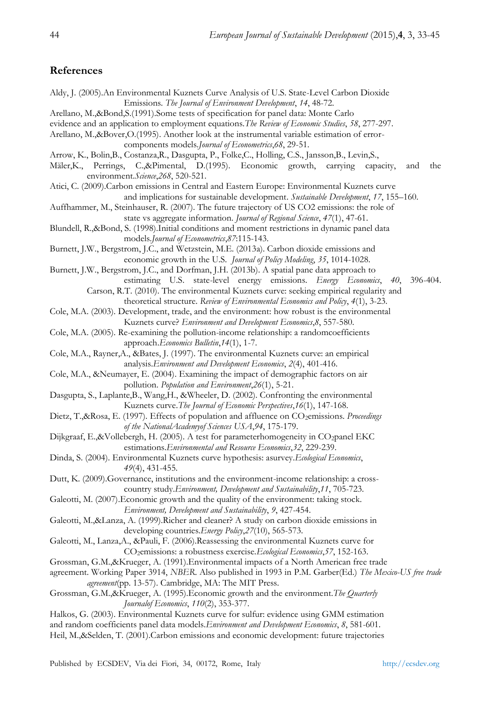## **References**

| Aldy, J. (2005).An Environmental Kuznets Curve Analysis of U.S. State-Level Carbon Dioxide                                               |
|------------------------------------------------------------------------------------------------------------------------------------------|
| Emissions. The Journal of Environment Development, 14, 48-72.                                                                            |
| Arellano, M.,&Bond,S.(1991).Some tests of specification for panel data: Monte Carlo                                                      |
| evidence and an application to employment equations. The Review of Economic Studies, 58, 277-297.                                        |
| Arellano, M.,&Bover,O.(1995). Another look at the instrumental variable estimation of error-                                             |
|                                                                                                                                          |
| components models. Journal of Econometrics, 68, 29-51.                                                                                   |
| Arrow, K., Bolin, B., Costanza, R., Dasgupta, P., Folke, C., Holling, C.S., Jansson, B., Levin, S.,                                      |
| Mäler, K., Perrings,<br>C.,&Pimental, D.(1995). Economic growth, carrying capacity,<br>the<br>and<br>environment. Science, 268, 520-521. |
| Atici, C. (2009).Carbon emissions in Central and Eastern Europe: Environmental Kuznets curve                                             |
| and implications for sustainable development. Sustainable Development, 17, 155-160.                                                      |
| Auffhammer, M., Steinhauser, R. (2007). The future trajectory of US CO2 emissions: the role of                                           |
| state vs aggregate information. Journal of Regional Science, 47(1), 47-61.                                                               |
| Blundell, R.,&Bond, S. (1998). Initial conditions and moment restrictions in dynamic panel data                                          |
|                                                                                                                                          |
| models.Journal of Econometrics, 87:115-143.                                                                                              |
| Burnett, J.W., Bergstrom, J.C., and Wetzstein, M.E. (2013a). Carbon dioxide emissions and                                                |
| economic growth in the U.S. Journal of Policy Modeling, 35, 1014-1028.                                                                   |
| Burnett, J.W., Bergstrom, J.C., and Dorfman, J.H. (2013b). A spatial pane data approach to                                               |
| estimating U.S. state-level energy emissions. Energy Economics,<br>396-404.<br>40,                                                       |
| Carson, R.T. (2010). The environmental Kuznets curve: seeking empirical regularity and                                                   |
| theoretical structure. Review of Environmental Economics and Policy, 4(1), 3-23.                                                         |
| Cole, M.A. (2003). Development, trade, and the environment: how robust is the environmental                                              |
| Kuznets curve? Environment and Development Economics, 8, 557-580.                                                                        |
| Cole, M.A. (2005). Re-examining the pollution-income relationship: a random coefficients                                                 |
| approach. Economics Bulletin, 14(1), 1-7.                                                                                                |
| Cole, M.A., Rayner, A., &Bates, J. (1997). The environmental Kuznets curve: an empirical                                                 |
| analysis. Environment and Development Economics, 2(4), 401-416.                                                                          |
| Cole, M.A., & Neumayer, E. (2004). Examining the impact of demographic factors on air                                                    |
| pollution. Population and Environment, 26(1), 5-21.                                                                                      |
| Dasgupta, S., Laplante, B., Wang, H., & Wheeler, D. (2002). Confronting the environmental                                                |
|                                                                                                                                          |
| Kuznets curve. The Journal of Economic Perspectives, 16(1), 147-168.                                                                     |
| Dietz, T.,&Rosa, E. (1997). Effects of population and affluence on CO <sub>2</sub> emissions. Proceedings                                |
| of the NationalAcademyof Sciences USA,94, 175-179.                                                                                       |
| Dijkgraaf, E.,&Vollebergh, H. (2005). A test for parameterhomogeneity in CO2panel EKC                                                    |
| estimations. Environmental and Resource Economics, 32, 229-239.                                                                          |
| Dinda, S. (2004). Environmental Kuznets curve hypothesis: asurvey. Ecological Economics,                                                 |
| 49(4), 431-455.                                                                                                                          |
| Dutt, K. (2009). Governance, institutions and the environment-income relationship: a cross-                                              |
| country study. Environment, Development and Sustainability, 11, 705-723.                                                                 |
| Galeotti, M. (2007). Economic growth and the quality of the environment: taking stock.                                                   |
| Environment, Development and Sustainability, 9, 427-454.                                                                                 |
| Galeotti, M.,&Lanza, A. (1999).Richer and cleaner? A study on carbon dioxide emissions in                                                |
| developing countries. Energy Policy, 27(10), 565-573.                                                                                    |
| Galeotti, M., Lanza, A., & Pauli, F. (2006). Reassessing the environmental Kuznets curve for                                             |
| CO <sub>2</sub> emissions: a robustness exercise. Ecological Economics, 57, 152-163.                                                     |
| Grossman, G.M.,&Krueger, A. (1991). Environmental impacts of a North American free trade                                                 |
| agreement. Working Paper 3914, NBER. Also published in 1993 in P.M. Garber(Ed.) The Mexico-US free trade                                 |
| agreement(pp. 13-57). Cambridge, MA: The MIT Press.                                                                                      |
| Grossman, G.M.,&Krueger, A. (1995).Economic growth and the environment. The Quarterly                                                    |
| Journalof Economics, 110(2), 353-377.                                                                                                    |
| Halkos, G. (2003). Environmental Kuznets curve for sulfur: evidence using GMM estimation                                                 |
| and random coefficients panel data models. Environment and Development Economics, 8, 581-601.                                            |
| Heil, M.,&Selden, T. (2001).Carbon emissions and economic development: future trajectories                                               |